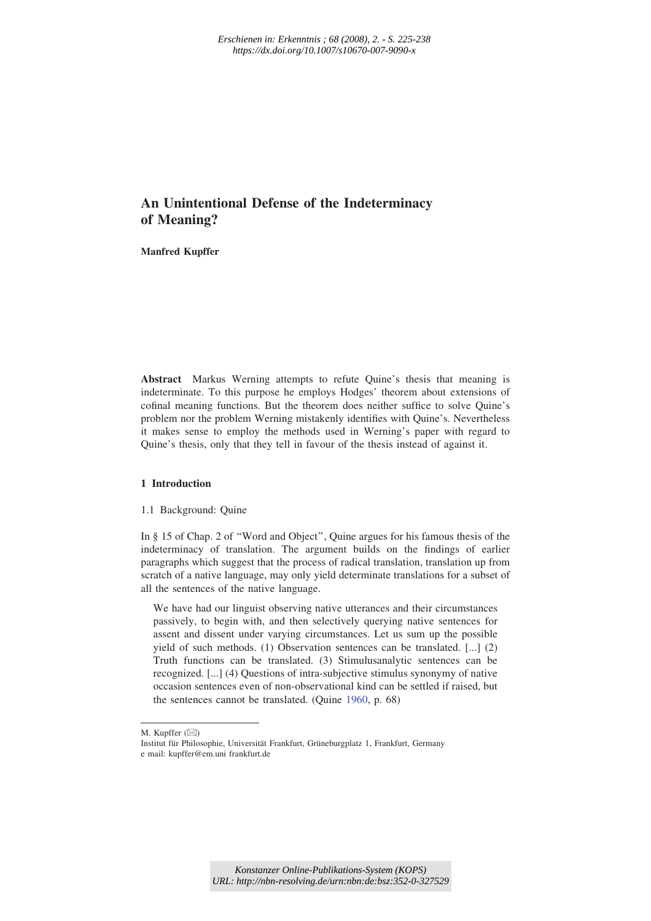# An Unintentional Defense of the Indeterminacy of Meaning?

Manfred Kupffer

Abstract Markus Werning attempts to refute Quine's thesis that meaning is indeterminate. To this purpose he employs Hodges' theorem about extensions of cofinal meaning functions. But the theorem does neither suffice to solve Quine's problem nor the problem Werning mistakenly identifies with Quine's. Nevertheless it makes sense to employ the methods used in Werning's paper with regard to Quine's thesis, only that they tell in favour of the thesis instead of against it.

### 1 Introduction

### 1.1 Background: Quine

In § 15 of Chap. 2 of ''Word and Object'', Quine argues for his famous thesis of the indeterminacy of translation. The argument builds on the findings of earlier paragraphs which suggest that the process of radical translation, translation up from scratch of a native language, may only yield determinate translations for a subset of all the sentences of the native language.

We have had our linguist observing native utterances and their circumstances passively, to begin with, and then selectively querying native sentences for assent and dissent under varying circumstances. Let us sum up the possible yield of such methods. (1) Observation sentences can be translated. [...] (2) Truth functions can be translated. (3) Stimulusanalytic sentences can be recognized. [...] (4) Questions of intra-subjective stimulus synonymy of native occasion sentences even of non-observational kind can be settled if raised, but the sentences cannot be translated. (Quine 1960, p. 68)

M. Kupffer  $(\boxtimes)$ 

Institut für Philosophie, Universität Frankfurt, Grüneburgplatz 1, Frankfurt, Germany e mail: kupffer@em.uni frankfurt.de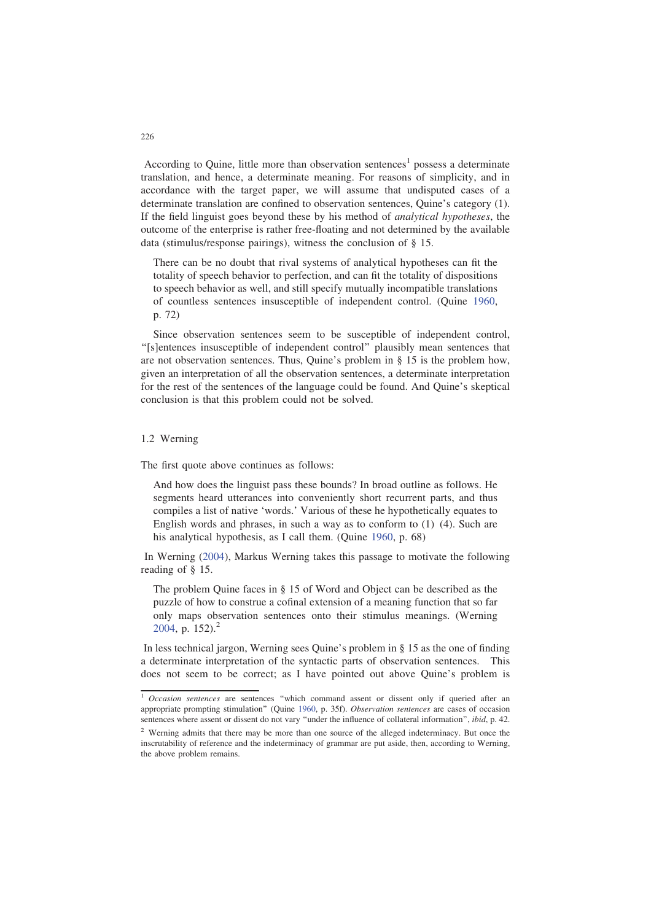According to Quine, little more than observation sentences<sup>1</sup> possess a determinate translation, and hence, a determinate meaning. For reasons of simplicity, and in accordance with the target paper, we will assume that undisputed cases of a determinate translation are confined to observation sentences, Quine's category (1). If the field linguist goes beyond these by his method of analytical hypotheses, the outcome of the enterprise is rather free-floating and not determined by the available data (stimulus/response pairings), witness the conclusion of § 15.

There can be no doubt that rival systems of analytical hypotheses can fit the totality of speech behavior to perfection, and can fit the totality of dispositions to speech behavior as well, and still specify mutually incompatible translations of countless sentences insusceptible of independent control. (Quine 1960, p. 72)

Since observation sentences seem to be susceptible of independent control, ''[s]entences insusceptible of independent control'' plausibly mean sentences that are not observation sentences. Thus, Quine's problem in § 15 is the problem how, given an interpretation of all the observation sentences, a determinate interpretation for the rest of the sentences of the language could be found. And Quine's skeptical conclusion is that this problem could not be solved.

### 1.2 Werning

The first quote above continues as follows:

And how does the linguist pass these bounds? In broad outline as follows. He segments heard utterances into conveniently short recurrent parts, and thus compiles a list of native 'words.' Various of these he hypothetically equates to English words and phrases, in such a way as to conform to (1) (4). Such are his analytical hypothesis, as I call them. (Quine 1960, p. 68)

In Werning (2004), Markus Werning takes this passage to motivate the following reading of § 15.

The problem Quine faces in § 15 of Word and Object can be described as the puzzle of how to construe a cofinal extension of a meaning function that so far only maps observation sentences onto their stimulus meanings. (Werning 2004, p.  $152$ ).<sup>2</sup>

In less technical jargon, Werning sees Quine's problem in § 15 as the one of finding a determinate interpretation of the syntactic parts of observation sentences. This does not seem to be correct; as I have pointed out above Quine's problem is

226

<sup>&</sup>lt;sup>1</sup> Occasion sentences are sentences "which command assent or dissent only if queried after an appropriate prompting stimulation'' (Quine 1960, p. 35f). Observation sentences are cases of occasion sentences where assent or dissent do not vary ''under the influence of collateral information'', ibid, p. 42. <sup>2</sup> Werning admits that there may be more than one source of the alleged indeterminacy. But once the inscrutability of reference and the indeterminacy of grammar are put aside, then, according to Werning, the above problem remains.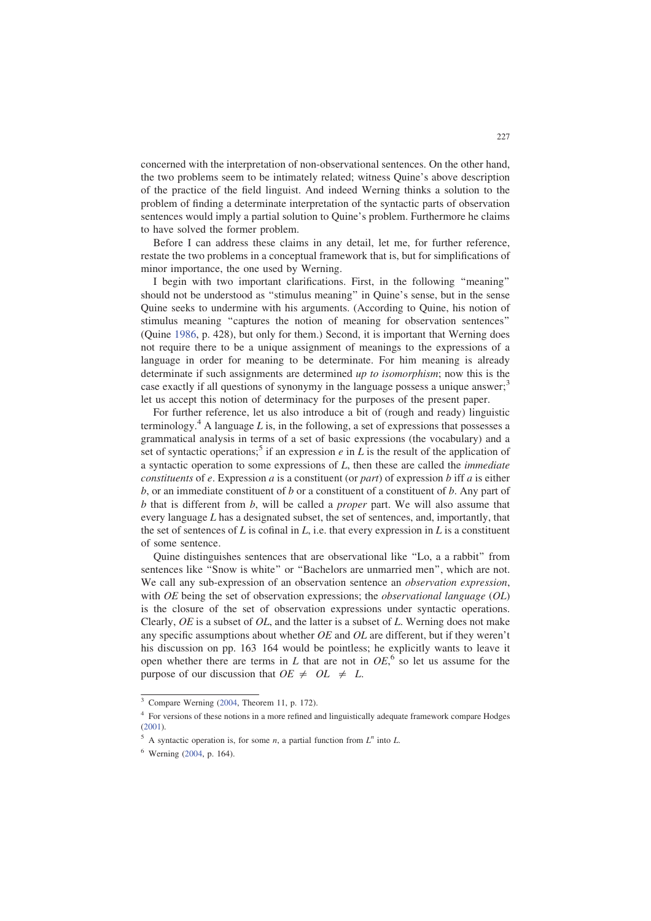concerned with the interpretation of non-observational sentences. On the other hand, the two problems seem to be intimately related; witness Quine's above description of the practice of the field linguist. And indeed Werning thinks a solution to the problem of finding a determinate interpretation of the syntactic parts of observation sentences would imply a partial solution to Quine's problem. Furthermore he claims to have solved the former problem.

Before I can address these claims in any detail, let me, for further reference, restate the two problems in a conceptual framework that is, but for simplifications of minor importance, the one used by Werning.

I begin with two important clarifications. First, in the following ''meaning'' should not be understood as ''stimulus meaning'' in Quine's sense, but in the sense Quine seeks to undermine with his arguments. (According to Quine, his notion of stimulus meaning ''captures the notion of meaning for observation sentences'' (Quine 1986, p. 428), but only for them.) Second, it is important that Werning does not require there to be a unique assignment of meanings to the expressions of a language in order for meaning to be determinate. For him meaning is already determinate if such assignments are determined up to isomorphism; now this is the case exactly if all questions of synonymy in the language possess a unique answer; $3$ let us accept this notion of determinacy for the purposes of the present paper.

For further reference, let us also introduce a bit of (rough and ready) linguistic terminology.<sup>4</sup> A language L is, in the following, a set of expressions that possesses a grammatical analysis in terms of a set of basic expressions (the vocabulary) and a set of syntactic operations;<sup>5</sup> if an expression e in L is the result of the application of a syntactic operation to some expressions of  $L$ , then these are called the *immediate* constituents of e. Expression a is a constituent (or part) of expression b iff a is either b, or an immediate constituent of b or a constituent of a constituent of b. Any part of  $b$  that is different from  $b$ , will be called a *proper* part. We will also assume that every language  $L$  has a designated subset, the set of sentences, and, importantly, that the set of sentences of  $L$  is cofinal in  $L$ , i.e. that every expression in  $L$  is a constituent of some sentence.

Quine distinguishes sentences that are observational like ''Lo, a a rabbit'' from sentences like "Snow is white" or "Bachelors are unmarried men", which are not. We call any sub-expression of an observation sentence an *observation expression*, with  $OE$  being the set of observation expressions; the *observational language* ( $OL$ ) is the closure of the set of observation expressions under syntactic operations. Clearly,  $OE$  is a subset of  $OL$ , and the latter is a subset of L. Werning does not make any specific assumptions about whether  $OE$  and  $OL$  are different, but if they weren't his discussion on pp. 163 164 would be pointless; he explicitly wants to leave it open whether there are terms in L that are not in  $OE<sup>6</sup>$  so let us assume for the purpose of our discussion that  $OE \neq OL \neq L$ .

<sup>&</sup>lt;sup>3</sup> Compare Werning (2004, Theorem 11, p. 172).

<sup>4</sup> For versions of these notions in a more refined and linguistically adequate framework compare Hodges (2001).

<sup>&</sup>lt;sup>5</sup> A syntactic operation is, for some *n*, a partial function from  $L^n$  into L.

<sup>6</sup> Werning (2004, p. 164).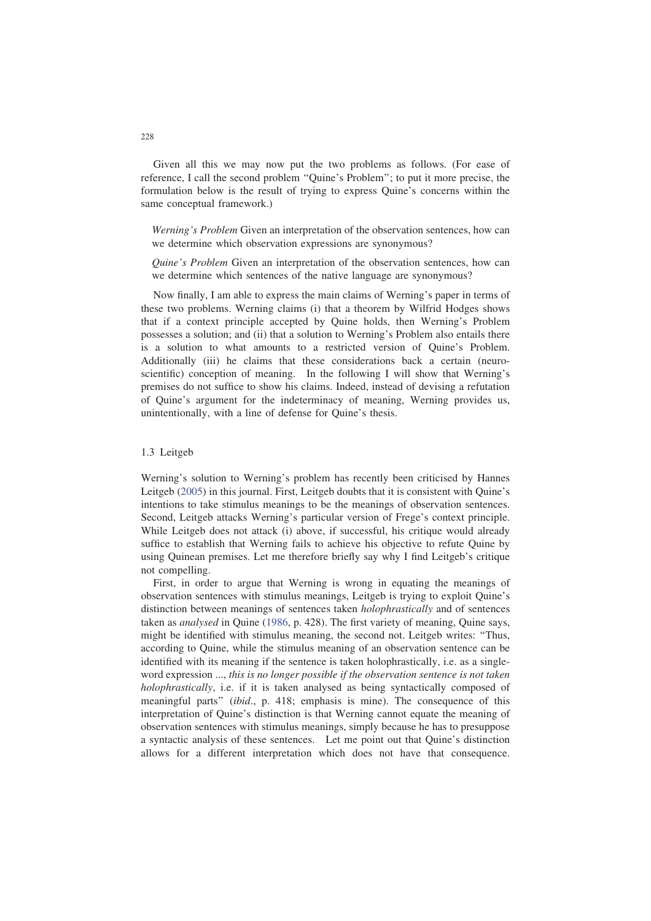Given all this we may now put the two problems as follows. (For ease of reference, I call the second problem ''Quine's Problem''; to put it more precise, the formulation below is the result of trying to express Quine's concerns within the same conceptual framework.)

Werning's Problem Given an interpretation of the observation sentences, how can we determine which observation expressions are synonymous?

Quine's Problem Given an interpretation of the observation sentences, how can we determine which sentences of the native language are synonymous?

Now finally, I am able to express the main claims of Werning's paper in terms of these two problems. Werning claims (i) that a theorem by Wilfrid Hodges shows that if a context principle accepted by Quine holds, then Werning's Problem possesses a solution; and (ii) that a solution to Werning's Problem also entails there is a solution to what amounts to a restricted version of Quine's Problem. Additionally (iii) he claims that these considerations back a certain (neuroscientific) conception of meaning. In the following I will show that Werning's premises do not suffice to show his claims. Indeed, instead of devising a refutation of Quine's argument for the indeterminacy of meaning, Werning provides us, unintentionally, with a line of defense for Quine's thesis.

## 1.3 Leitgeb

Werning's solution to Werning's problem has recently been criticised by Hannes Leitgeb (2005) in this journal. First, Leitgeb doubts that it is consistent with Quine's intentions to take stimulus meanings to be the meanings of observation sentences. Second, Leitgeb attacks Werning's particular version of Frege's context principle. While Leitgeb does not attack (i) above, if successful, his critique would already suffice to establish that Werning fails to achieve his objective to refute Quine by using Quinean premises. Let me therefore briefly say why I find Leitgeb's critique not compelling.

First, in order to argue that Werning is wrong in equating the meanings of observation sentences with stimulus meanings, Leitgeb is trying to exploit Quine's distinction between meanings of sentences taken holophrastically and of sentences taken as analysed in Quine (1986, p. 428). The first variety of meaning, Quine says, might be identified with stimulus meaning, the second not. Leitgeb writes: ''Thus, according to Quine, while the stimulus meaning of an observation sentence can be identified with its meaning if the sentence is taken holophrastically, i.e. as a singleword expression ..., this is no longer possible if the observation sentence is not taken holophrastically, i.e. if it is taken analysed as being syntactically composed of meaningful parts'' (ibid., p. 418; emphasis is mine). The consequence of this interpretation of Quine's distinction is that Werning cannot equate the meaning of observation sentences with stimulus meanings, simply because he has to presuppose a syntactic analysis of these sentences. Let me point out that Quine's distinction allows for a different interpretation which does not have that consequence.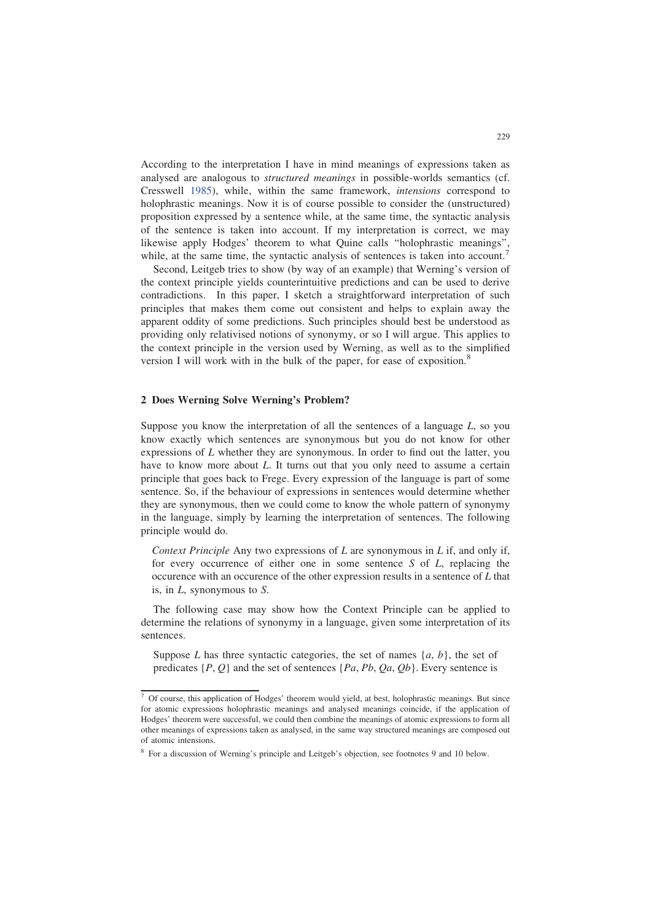According to the interpretation I have in mind meanings of expressions taken as analysed are analogous to structured meanings in possible-worlds semantics (cf. Cresswell 1985), while, within the same framework, intensions correspond to holophrastic meanings. Now it is of course possible to consider the (unstructured) proposition expressed by a sentence while, at the same time, the syntactic analysis of the sentence is taken into account. If my interpretation is correct, we may likewise apply Hodges' theorem to what Quine calls ''holophrastic meanings'', while, at the same time, the syntactic analysis of sentences is taken into account.<sup>7</sup>

Second, Leitgeb tries to show (by way of an example) that Werning's version of the context principle yields counterintuitive predictions and can be used to derive contradictions. In this paper, I sketch a straightforward interpretation of such principles that makes them come out consistent and helps to explain away the apparent oddity of some predictions. Such principles should best be understood as providing only relativised notions of synonymy, or so I will argue. This applies to the context principle in the version used by Werning, as well as to the simplified version I will work with in the bulk of the paper, for ease of exposition.<sup>8</sup>

### 2 Does Werning Solve Werning's Problem?

Suppose you know the interpretation of all the sentences of a language  $L$ , so you know exactly which sentences are synonymous but you do not know for other expressions of L whether they are synonymous. In order to find out the latter, you have to know more about L. It turns out that you only need to assume a certain principle that goes back to Frege. Every expression of the language is part of some sentence. So, if the behaviour of expressions in sentences would determine whether they are synonymous, then we could come to know the whole pattern of synonymy in the language, simply by learning the interpretation of sentences. The following principle would do.

Context Principle Any two expressions of  $L$  are synonymous in  $L$  if, and only if, for every occurrence of either one in some sentence S of L, replacing the occurence with an occurence of the other expression results in a sentence of L that is, in L, synonymous to S.

The following case may show how the Context Principle can be applied to determine the relations of synonymy in a language, given some interpretation of its sentences.

Suppose L has three syntactic categories, the set of names  $\{a, b\}$ , the set of predicates  $\{P, Q\}$  and the set of sentences  $\{Pa, Pb, Oa, Ob\}$ . Every sentence is

<sup>7</sup> Of course, this application of Hodges' theorem would yield, at best, holophrastic meanings. But since for atomic expressions holophrastic meanings and analysed meanings coincide, if the application of Hodges' theorem were successful, we could then combine the meanings of atomic expressions to form all other meanings of expressions taken as analysed, in the same way structured meanings are composed out of atomic intensions.

<sup>8</sup> For a discussion of Werning's principle and Leitgeb's objection, see footnotes 9 and 10 below.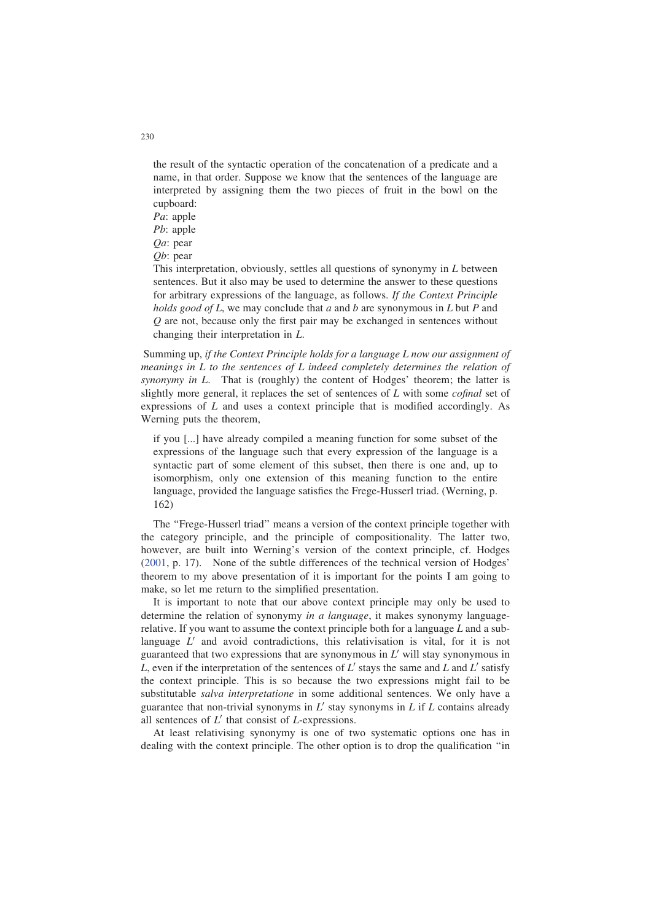the result of the syntactic operation of the concatenation of a predicate and a name, in that order. Suppose we know that the sentences of the language are interpreted by assigning them the two pieces of fruit in the bowl on the cupboard:

Pa: apple

Pb: apple

Qa: pear

Qb: pear

This interpretation, obviously, settles all questions of synonymy in  $L$  between sentences. But it also may be used to determine the answer to these questions for arbitrary expressions of the language, as follows. If the Context Principle holds good of L, we may conclude that a and b are synonymous in L but P and Q are not, because only the first pair may be exchanged in sentences without changing their interpretation in L.

Summing up, if the Context Principle holds for a language L now our assignment of meanings in L to the sentences of L indeed completely determines the relation of synonymy in L. That is (roughly) the content of Hodges' theorem; the latter is slightly more general, it replaces the set of sentences of  $L$  with some *cofinal* set of expressions of L and uses a context principle that is modified accordingly. As Werning puts the theorem,

if you [...] have already compiled a meaning function for some subset of the expressions of the language such that every expression of the language is a syntactic part of some element of this subset, then there is one and, up to isomorphism, only one extension of this meaning function to the entire language, provided the language satisfies the Frege-Husserl triad. (Werning, p. 162)

The ''Frege-Husserl triad'' means a version of the context principle together with the category principle, and the principle of compositionality. The latter two, however, are built into Werning's version of the context principle, cf. Hodges (2001, p. 17). None of the subtle differences of the technical version of Hodges' theorem to my above presentation of it is important for the points I am going to make, so let me return to the simplified presentation.

It is important to note that our above context principle may only be used to determine the relation of synonymy in a language, it makes synonymy languagerelative. If you want to assume the context principle both for a language  $L$  and a sublanguage  $L'$  and avoid contradictions, this relativisation is vital, for it is not guaranteed that two expressions that are synonymous in  $L'$  will stay synonymous in L, even if the interpretation of the sentences of  $L'$  stays the same and L and  $L'$  satisfy the context principle. This is so because the two expressions might fail to be substitutable *salva interpretatione* in some additional sentences. We only have a guarantee that non-trivial synonyms in  $L'$  stay synonyms in  $L$  if  $L$  contains already all sentences of  $L'$  that consist of  $L$ -expressions.

At least relativising synonymy is one of two systematic options one has in dealing with the context principle. The other option is to drop the qualification ''in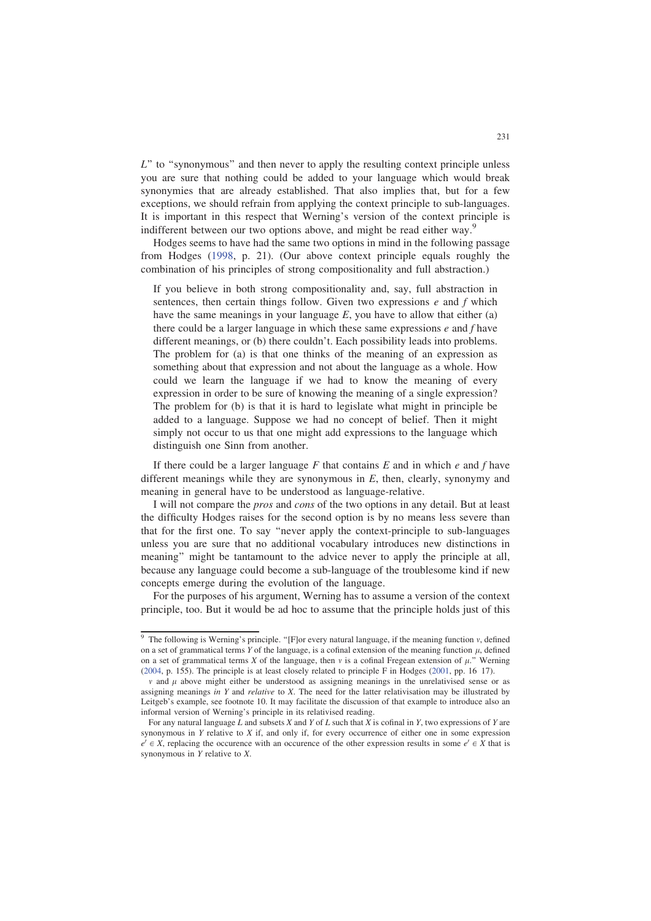$L$ " to "synonymous" and then never to apply the resulting context principle unless you are sure that nothing could be added to your language which would break synonymies that are already established. That also implies that, but for a few exceptions, we should refrain from applying the context principle to sub-languages. It is important in this respect that Werning's version of the context principle is indifferent between our two options above, and might be read either way.<sup>9</sup>

Hodges seems to have had the same two options in mind in the following passage from Hodges (1998, p. 21). (Our above context principle equals roughly the combination of his principles of strong compositionality and full abstraction.)

If you believe in both strong compositionality and, say, full abstraction in sentences, then certain things follow. Given two expressions  $e$  and  $f$  which have the same meanings in your language  $E$ , you have to allow that either (a) there could be a larger language in which these same expressions  $e$  and  $f$  have different meanings, or (b) there couldn't. Each possibility leads into problems. The problem for (a) is that one thinks of the meaning of an expression as something about that expression and not about the language as a whole. How could we learn the language if we had to know the meaning of every expression in order to be sure of knowing the meaning of a single expression? The problem for (b) is that it is hard to legislate what might in principle be added to a language. Suppose we had no concept of belief. Then it might simply not occur to us that one might add expressions to the language which distinguish one Sinn from another.

If there could be a larger language  $F$  that contains  $E$  and in which  $e$  and  $f$  have different meanings while they are synonymous in  $E$ , then, clearly, synonymy and meaning in general have to be understood as language-relative.

I will not compare the pros and cons of the two options in any detail. But at least the difficulty Hodges raises for the second option is by no means less severe than that for the first one. To say ''never apply the context-principle to sub-languages unless you are sure that no additional vocabulary introduces new distinctions in meaning'' might be tantamount to the advice never to apply the principle at all, because any language could become a sub-language of the troublesome kind if new concepts emerge during the evolution of the language.

For the purposes of his argument, Werning has to assume a version of the context principle, too. But it would be ad hoc to assume that the principle holds just of this

 $\frac{9}{9}$  The following is Werning's principle. "[F]or every natural language, if the meaning function v, defined on a set of grammatical terms Y of the language, is a cofinal extension of the meaning function  $\mu$ , defined on a set of grammatical terms X of the language, then v is a cofinal Fregean extension of  $\mu$ ." Werning (2004, p. 155). The principle is at least closely related to principle F in Hodges (2001, pp. 16 17).

 $\nu$  and  $\mu$  above might either be understood as assigning meanings in the unrelativised sense or as assigning meanings in Y and *relative* to X. The need for the latter relativisation may be illustrated by Leitgeb's example, see footnote 10. It may facilitate the discussion of that example to introduce also an informal version of Werning's principle in its relativised reading.

For any natural language  $L$  and subsets  $X$  and  $Y$  of  $L$  such that  $X$  is cofinal in  $Y$ , two expressions of  $Y$  are synonymous in Y relative to X if, and only if, for every occurrence of either one in some expression  $e^{\prime} \in X$ , replacing the occurence with an occurence of the other expression results in some  $e^{\prime} \in X$  that is synonymous in Y relative to X.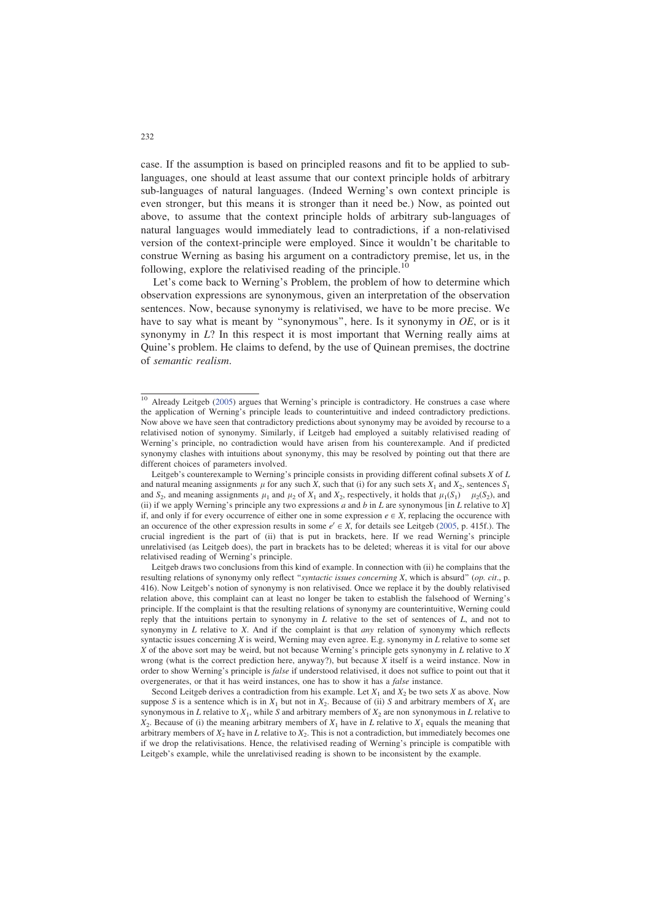case. If the assumption is based on principled reasons and fit to be applied to sublanguages, one should at least assume that our context principle holds of arbitrary sub-languages of natural languages. (Indeed Werning's own context principle is even stronger, but this means it is stronger than it need be.) Now, as pointed out above, to assume that the context principle holds of arbitrary sub-languages of natural languages would immediately lead to contradictions, if a non-relativised version of the context-principle were employed. Since it wouldn't be charitable to construe Werning as basing his argument on a contradictory premise, let us, in the following, explore the relativised reading of the principle.<sup>10</sup>

Let's come back to Werning's Problem, the problem of how to determine which observation expressions are synonymous, given an interpretation of the observation sentences. Now, because synonymy is relativised, we have to be more precise. We have to say what is meant by "synonymous", here. Is it synonymy in OE, or is it synonymy in  $L$ ? In this respect it is most important that Werning really aims at Quine's problem. He claims to defend, by the use of Quinean premises, the doctrine of semantic realism.

<sup>&</sup>lt;sup>10</sup> Already Leitgeb (2005) argues that Werning's principle is contradictory. He construes a case where the application of Werning's principle leads to counterintuitive and indeed contradictory predictions. Now above we have seen that contradictory predictions about synonymy may be avoided by recourse to a relativised notion of synonymy. Similarly, if Leitgeb had employed a suitably relativised reading of Werning's principle, no contradiction would have arisen from his counterexample. And if predicted synonymy clashes with intuitions about synonymy, this may be resolved by pointing out that there are different choices of parameters involved.

Leitgeb's counterexample to Werning's principle consists in providing different cofinal subsets X of L and natural meaning assignments  $\mu$  for any such X, such that (i) for any such sets  $X_1$  and  $X_2$ , sentences  $S_1$ and  $S_2$ , and meaning assignments  $\mu_1$  and  $\mu_2$  of  $X_1$  and  $X_2$ , respectively, it holds that  $\mu_1(S_1)$   $\mu_2(S_2)$ , and (ii) if we apply Werning's principle any two expressions  $a$  and  $b$  in  $L$  are synonymous [in  $L$  relative to  $X$ ] if, and only if for every occurrence of either one in some expression  $e \in X$ , replacing the occurence with an occurence of the other expression results in some  $e' \in X$ , for details see Leitgeb (2005, p. 415f.). The crucial ingredient is the part of (ii) that is put in brackets, here. If we read Werning's principle unrelativised (as Leitgeb does), the part in brackets has to be deleted; whereas it is vital for our above relativised reading of Werning's principle.

Leitgeb draws two conclusions from this kind of example. In connection with (ii) he complains that the resulting relations of synonymy only reflect "syntactic issues concerning X, which is absurd" (op. cit., p. 416). Now Leitgeb's notion of synonymy is non relativised. Once we replace it by the doubly relativised relation above, this complaint can at least no longer be taken to establish the falsehood of Werning's principle. If the complaint is that the resulting relations of synonymy are counterintuitive, Werning could reply that the intuitions pertain to synonymy in  $L$  relative to the set of sentences of  $L$ , and not to synonymy in  $L$  relative to  $X$ . And if the complaint is that *any* relation of synonymy which reflects syntactic issues concerning  $X$  is weird, Werning may even agree. E.g. synonymy in  $L$  relative to some set  $\overline{X}$  of the above sort may be weird, but not because Werning's principle gets synonymy in  $L$  relative to  $\overline{X}$ wrong (what is the correct prediction here, anyway?), but because X itself is a weird instance. Now in order to show Werning's principle is false if understood relativised, it does not suffice to point out that it overgenerates, or that it has weird instances, one has to show it has a false instance.

Second Leitgeb derives a contradiction from his example. Let  $X_1$  and  $X_2$  be two sets X as above. Now suppose S is a sentence which is in  $X_1$  but not in  $X_2$ . Because of (ii) S and arbitrary members of  $X_1$  are synonymous in L relative to  $X_1$ , while S and arbitrary members of  $X_2$  are non synonymous in L relative to  $X_2$ . Because of (i) the meaning arbitrary members of  $X_1$  have in L relative to  $X_1$  equals the meaning that arbitrary members of  $X_2$  have in L relative to  $X_2$ . This is not a contradiction, but immediately becomes one if we drop the relativisations. Hence, the relativised reading of Werning's principle is compatible with Leitgeb's example, while the unrelativised reading is shown to be inconsistent by the example.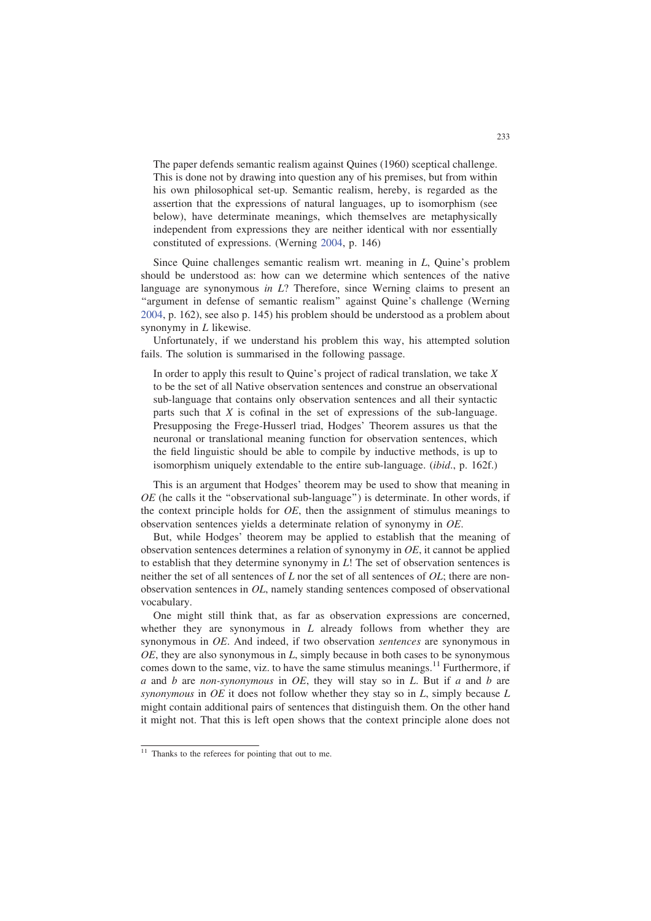The paper defends semantic realism against Quines (1960) sceptical challenge. This is done not by drawing into question any of his premises, but from within his own philosophical set-up. Semantic realism, hereby, is regarded as the assertion that the expressions of natural languages, up to isomorphism (see below), have determinate meanings, which themselves are metaphysically independent from expressions they are neither identical with nor essentially constituted of expressions. (Werning 2004, p. 146)

Since Quine challenges semantic realism wrt. meaning in L, Quine's problem should be understood as: how can we determine which sentences of the native language are synonymous *in L*? Therefore, since Werning claims to present an "argument in defense of semantic realism" against Quine's challenge (Werning 2004, p. 162), see also p. 145) his problem should be understood as a problem about synonymy in L likewise.

Unfortunately, if we understand his problem this way, his attempted solution fails. The solution is summarised in the following passage.

In order to apply this result to Quine's project of radical translation, we take  $X$ to be the set of all Native observation sentences and construe an observational sub-language that contains only observation sentences and all their syntactic parts such that  $X$  is cofinal in the set of expressions of the sub-language. Presupposing the Frege-Husserl triad, Hodges' Theorem assures us that the neuronal or translational meaning function for observation sentences, which the field linguistic should be able to compile by inductive methods, is up to isomorphism uniquely extendable to the entire sub-language. (ibid., p. 162f.)

This is an argument that Hodges' theorem may be used to show that meaning in OE (he calls it the ''observational sub-language'') is determinate. In other words, if the context principle holds for  $OE$ , then the assignment of stimulus meanings to observation sentences yields a determinate relation of synonymy in OE.

But, while Hodges' theorem may be applied to establish that the meaning of observation sentences determines a relation of synonymy in  $OE$ , it cannot be applied to establish that they determine synonymy in  $L!$  The set of observation sentences is neither the set of all sentences of  $L$  nor the set of all sentences of  $OL$ ; there are nonobservation sentences in OL, namely standing sentences composed of observational vocabulary.

One might still think that, as far as observation expressions are concerned, whether they are synonymous in  $L$  already follows from whether they are synonymous in OE. And indeed, if two observation sentences are synonymous in  $OE$ , they are also synonymous in  $L$ , simply because in both cases to be synonymous comes down to the same, viz. to have the same stimulus meanings.<sup>11</sup> Furthermore, if a and b are non-synonymous in  $OE$ , they will stay so in L. But if a and b are synonymous in  $OE$  it does not follow whether they stay so in L, simply because L might contain additional pairs of sentences that distinguish them. On the other hand it might not. That this is left open shows that the context principle alone does not

 $\frac{11}{11}$  Thanks to the referees for pointing that out to me.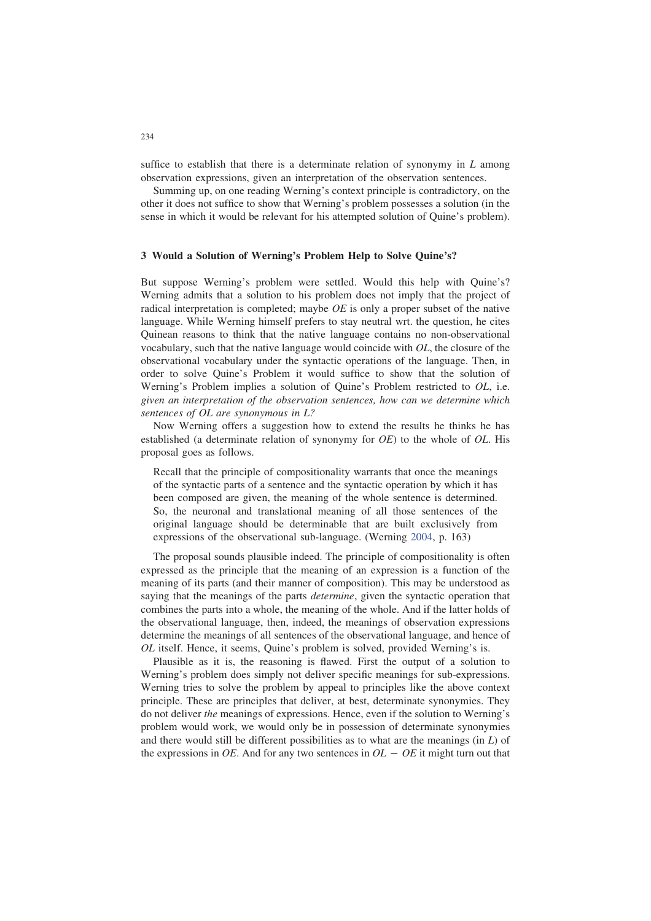suffice to establish that there is a determinate relation of synonymy in  $L$  among observation expressions, given an interpretation of the observation sentences.

Summing up, on one reading Werning's context principle is contradictory, on the other it does not suffice to show that Werning's problem possesses a solution (in the sense in which it would be relevant for his attempted solution of Quine's problem).

#### 3 Would a Solution of Werning's Problem Help to Solve Quine's?

But suppose Werning's problem were settled. Would this help with Quine's? Werning admits that a solution to his problem does not imply that the project of radical interpretation is completed; maybe  $OE$  is only a proper subset of the native language. While Werning himself prefers to stay neutral wrt. the question, he cites Quinean reasons to think that the native language contains no non-observational vocabulary, such that the native language would coincide with OL, the closure of the observational vocabulary under the syntactic operations of the language. Then, in order to solve Quine's Problem it would suffice to show that the solution of Werning's Problem implies a solution of Quine's Problem restricted to  $OL$ , i.e. given an interpretation of the observation sentences, how can we determine which sentences of OL are synonymous in L?

Now Werning offers a suggestion how to extend the results he thinks he has established (a determinate relation of synonymy for  $OE$ ) to the whole of  $OL$ . His proposal goes as follows.

Recall that the principle of compositionality warrants that once the meanings of the syntactic parts of a sentence and the syntactic operation by which it has been composed are given, the meaning of the whole sentence is determined. So, the neuronal and translational meaning of all those sentences of the original language should be determinable that are built exclusively from expressions of the observational sub-language. (Werning 2004, p. 163)

The proposal sounds plausible indeed. The principle of compositionality is often expressed as the principle that the meaning of an expression is a function of the meaning of its parts (and their manner of composition). This may be understood as saying that the meanings of the parts *determine*, given the syntactic operation that combines the parts into a whole, the meaning of the whole. And if the latter holds of the observational language, then, indeed, the meanings of observation expressions determine the meanings of all sentences of the observational language, and hence of OL itself. Hence, it seems, Quine's problem is solved, provided Werning's is.

Plausible as it is, the reasoning is flawed. First the output of a solution to Werning's problem does simply not deliver specific meanings for sub-expressions. Werning tries to solve the problem by appeal to principles like the above context principle. These are principles that deliver, at best, determinate synonymies. They do not deliver the meanings of expressions. Hence, even if the solution to Werning's problem would work, we would only be in possession of determinate synonymies and there would still be different possibilities as to what are the meanings (in  $L$ ) of the expressions in OE. And for any two sentences in  $OL - OE$  it might turn out that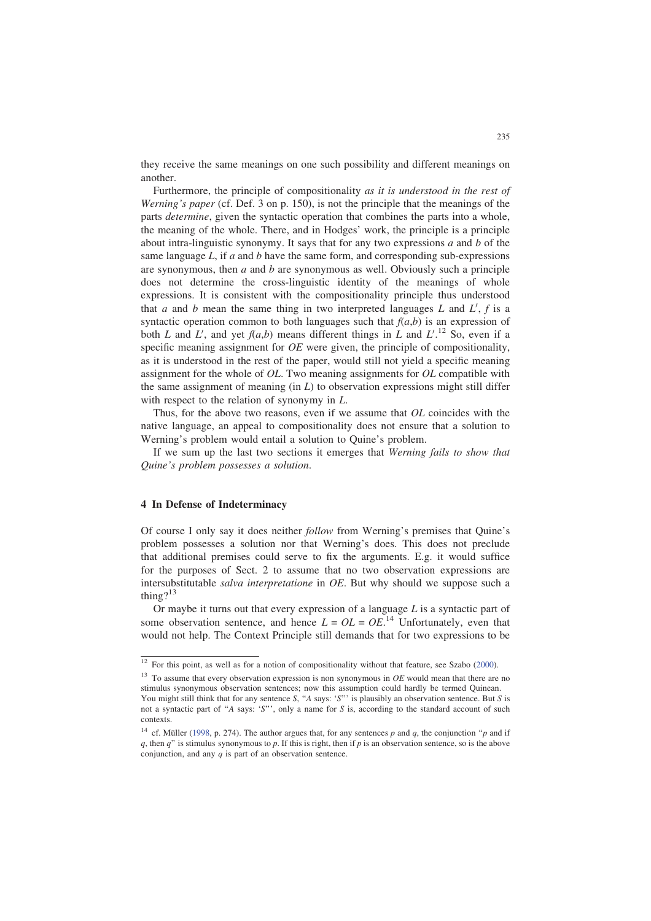they receive the same meanings on one such possibility and different meanings on another.

Furthermore, the principle of compositionality as it is understood in the rest of Werning's paper (cf. Def. 3 on p. 150), is not the principle that the meanings of the parts determine, given the syntactic operation that combines the parts into a whole, the meaning of the whole. There, and in Hodges' work, the principle is a principle about intra-linguistic synonymy. It says that for any two expressions  $a$  and  $b$  of the same language  $L$ , if  $a$  and  $b$  have the same form, and corresponding sub-expressions are synonymous, then  $a$  and  $b$  are synonymous as well. Obviously such a principle does not determine the cross-linguistic identity of the meanings of whole expressions. It is consistent with the compositionality principle thus understood that a and b mean the same thing in two interpreted languages L and  $L'$ , f is a syntactic operation common to both languages such that  $f(a,b)$  is an expression of both L and L', and yet  $f(a,b)$  means different things in L and  $L'$ .<sup>12</sup> So, even if a specific meaning assignment for  $OE$  were given, the principle of compositionality, as it is understood in the rest of the paper, would still not yield a specific meaning assignment for the whole of OL. Two meaning assignments for OL compatible with the same assignment of meaning  $(in L)$  to observation expressions might still differ with respect to the relation of synonymy in L.

Thus, for the above two reasons, even if we assume that OL coincides with the native language, an appeal to compositionality does not ensure that a solution to Werning's problem would entail a solution to Quine's problem.

If we sum up the last two sections it emerges that Werning fails to show that Quine's problem possesses a solution.

#### 4 In Defense of Indeterminacy

contexts.

Of course I only say it does neither follow from Werning's premises that Quine's problem possesses a solution nor that Werning's does. This does not preclude that additional premises could serve to fix the arguments. E.g. it would suffice for the purposes of Sect. 2 to assume that no two observation expressions are intersubstitutable salva interpretatione in OE. But why should we suppose such a thing?<sup>13</sup>

Or maybe it turns out that every expression of a language  $L$  is a syntactic part of some observation sentence, and hence  $L = OL = OE^{14}$  Unfortunately, even that would not help. The Context Principle still demands that for two expressions to be

<sup>&</sup>lt;sup>12</sup> For this point, as well as for a notion of compositionality without that feature, see Szabo (2000).

<sup>&</sup>lt;sup>13</sup> To assume that every observation expression is non synonymous in  $OE$  would mean that there are no stimulus synonymous observation sentences; now this assumption could hardly be termed Quinean. You might still think that for any sentence S, "A says: 'S"' is plausibly an observation sentence. But S is not a syntactic part of "A says: 'S"', only a name for S is, according to the standard account of such

<sup>&</sup>lt;sup>14</sup> cf. Müller (1998, p. 274). The author argues that, for any sentences p and q, the conjunction "p and if q, then  $q'$  is stimulus synonymous to p. If this is right, then if p is an observation sentence, so is the above conjunction, and any  $q$  is part of an observation sentence.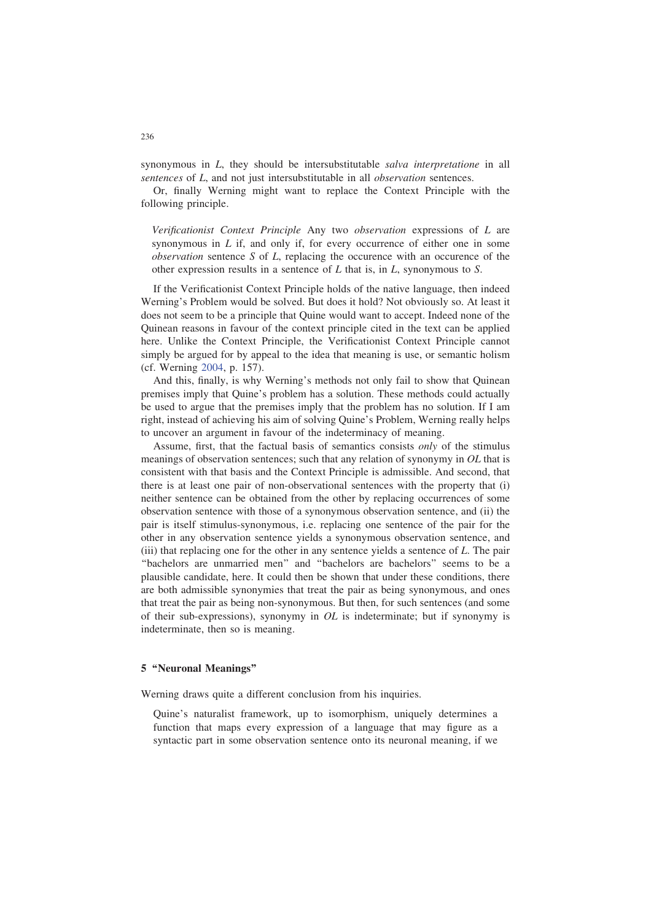synonymous in L, they should be intersubstitutable *salva interpretatione* in all sentences of L, and not just intersubstitutable in all *observation* sentences.

Or, finally Werning might want to replace the Context Principle with the following principle.

Verificationist Context Principle Any two observation expressions of L are synonymous in  $L$  if, and only if, for every occurrence of either one in some *observation* sentence  $S$  of  $L$ , replacing the occurence with an occurence of the other expression results in a sentence of  $L$  that is, in  $L$ , synonymous to  $S$ .

If the Verificationist Context Principle holds of the native language, then indeed Werning's Problem would be solved. But does it hold? Not obviously so. At least it does not seem to be a principle that Quine would want to accept. Indeed none of the Quinean reasons in favour of the context principle cited in the text can be applied here. Unlike the Context Principle, the Verificationist Context Principle cannot simply be argued for by appeal to the idea that meaning is use, or semantic holism (cf. Werning 2004, p. 157).

And this, finally, is why Werning's methods not only fail to show that Quinean premises imply that Quine's problem has a solution. These methods could actually be used to argue that the premises imply that the problem has no solution. If I am right, instead of achieving his aim of solving Quine's Problem, Werning really helps to uncover an argument in favour of the indeterminacy of meaning.

Assume, first, that the factual basis of semantics consists only of the stimulus meanings of observation sentences; such that any relation of synonymy in OL that is consistent with that basis and the Context Principle is admissible. And second, that there is at least one pair of non-observational sentences with the property that (i) neither sentence can be obtained from the other by replacing occurrences of some observation sentence with those of a synonymous observation sentence, and (ii) the pair is itself stimulus-synonymous, i.e. replacing one sentence of the pair for the other in any observation sentence yields a synonymous observation sentence, and (iii) that replacing one for the other in any sentence yields a sentence of L. The pair ''bachelors are unmarried men'' and ''bachelors are bachelors'' seems to be a plausible candidate, here. It could then be shown that under these conditions, there are both admissible synonymies that treat the pair as being synonymous, and ones that treat the pair as being non-synonymous. But then, for such sentences (and some of their sub-expressions), synonymy in  $OL$  is indeterminate; but if synonymy is indeterminate, then so is meaning.

#### 5 ''Neuronal Meanings''

Werning draws quite a different conclusion from his inquiries.

Quine's naturalist framework, up to isomorphism, uniquely determines a function that maps every expression of a language that may figure as a syntactic part in some observation sentence onto its neuronal meaning, if we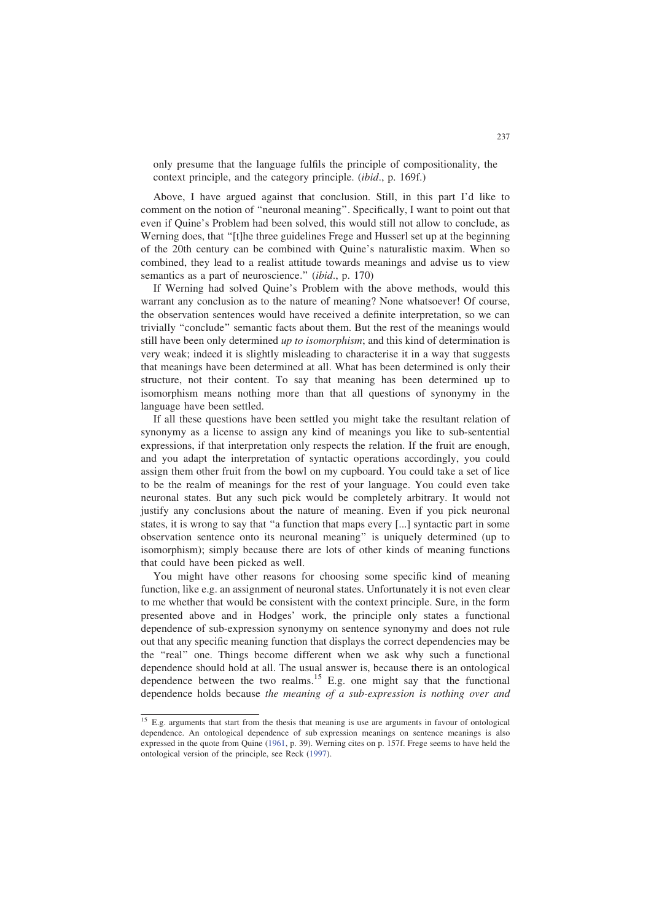only presume that the language fulfils the principle of compositionality, the context principle, and the category principle. (ibid., p. 169f.)

Above, I have argued against that conclusion. Still, in this part I'd like to comment on the notion of ''neuronal meaning''. Specifically, I want to point out that even if Quine's Problem had been solved, this would still not allow to conclude, as Werning does, that ''[t]he three guidelines Frege and Husserl set up at the beginning of the 20th century can be combined with Quine's naturalistic maxim. When so combined, they lead to a realist attitude towards meanings and advise us to view semantics as a part of neuroscience." (ibid., p. 170)

If Werning had solved Quine's Problem with the above methods, would this warrant any conclusion as to the nature of meaning? None whatsoever! Of course, the observation sentences would have received a definite interpretation, so we can trivially ''conclude'' semantic facts about them. But the rest of the meanings would still have been only determined  $\mu p$  to isomorphism; and this kind of determination is very weak; indeed it is slightly misleading to characterise it in a way that suggests that meanings have been determined at all. What has been determined is only their structure, not their content. To say that meaning has been determined up to isomorphism means nothing more than that all questions of synonymy in the language have been settled.

If all these questions have been settled you might take the resultant relation of synonymy as a license to assign any kind of meanings you like to sub-sentential expressions, if that interpretation only respects the relation. If the fruit are enough, and you adapt the interpretation of syntactic operations accordingly, you could assign them other fruit from the bowl on my cupboard. You could take a set of lice to be the realm of meanings for the rest of your language. You could even take neuronal states. But any such pick would be completely arbitrary. It would not justify any conclusions about the nature of meaning. Even if you pick neuronal states, it is wrong to say that ''a function that maps every [...] syntactic part in some observation sentence onto its neuronal meaning'' is uniquely determined (up to isomorphism); simply because there are lots of other kinds of meaning functions that could have been picked as well.

You might have other reasons for choosing some specific kind of meaning function, like e.g. an assignment of neuronal states. Unfortunately it is not even clear to me whether that would be consistent with the context principle. Sure, in the form presented above and in Hodges' work, the principle only states a functional dependence of sub-expression synonymy on sentence synonymy and does not rule out that any specific meaning function that displays the correct dependencies may be the ''real'' one. Things become different when we ask why such a functional dependence should hold at all. The usual answer is, because there is an ontological dependence between the two realms.<sup>15</sup> E.g. one might say that the functional dependence holds because the meaning of a sub-expression is nothing over and

<sup>&</sup>lt;sup>15</sup> E.g. arguments that start from the thesis that meaning is use are arguments in favour of ontological dependence. An ontological dependence of sub expression meanings on sentence meanings is also expressed in the quote from Quine (1961, p. 39). Werning cites on p. 157f. Frege seems to have held the ontological version of the principle, see Reck (1997).